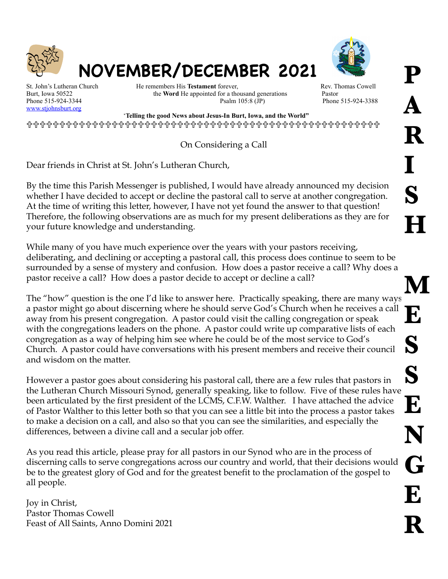



[www.stjohnsburt.org](http://www.stjohnsburt.org)

St. John's Lutheran Church **He remembers His Testament** forever, Rev. Thomas Cowell Burt, Iowa 50522 the **Word** He appointed for a thousand generations Pastor<br>Phone 515-924-3344 Psalm 105:8 (JP) Phone

Phone 515-924-3388

 '**Telling the good News about Jesus-In Burt, Iowa, and the World"**  !!!!!!!!!!!!!!!!!!!!!!!!!!!!!!!!!!!!!!!!!!!!!!!!!!!!!!

**NOVEMBER/DECEMBER 2021** 

On Considering a Call

Dear friends in Christ at St. John's Lutheran Church,

By the time this Parish Messenger is published, I would have already announced my decision whether I have decided to accept or decline the pastoral call to serve at another congregation. At the time of writing this letter, however, I have not yet found the answer to that question! Therefore, the following observations are as much for my present deliberations as they are for your future knowledge and understanding.

While many of you have much experience over the years with your pastors receiving, deliberating, and declining or accepting a pastoral call, this process does continue to seem to be surrounded by a sense of mystery and confusion. How does a pastor receive a call? Why does a pastor receive a call? How does a pastor decide to accept or decline a call?

The "how" question is the one I'd like to answer here. Practically speaking, there are many ways a pastor might go about discerning where he should serve God's Church when he receives a call away from his present congregation. A pastor could visit the calling congregation or speak with the congregations leaders on the phone. A pastor could write up comparative lists of each congregation as a way of helping him see where he could be of the most service to God's Church. A pastor could have conversations with his present members and receive their council and wisdom on the matter.

However a pastor goes about considering his pastoral call, there are a few rules that pastors in the Lutheran Church Missouri Synod, generally speaking, like to follow. Five of these rules have been articulated by the first president of the LCMS, C.F.W. Walther. I have attached the advice of Pastor Walther to this letter both so that you can see a little bit into the process a pastor takes to make a decision on a call, and also so that you can see the similarities, and especially the differences, between a divine call and a secular job offer.

As you read this article, please pray for all pastors in our Synod who are in the process of discerning calls to serve congregations across our country and world, that their decisions would be to the greatest glory of God and for the greatest benefit to the proclamation of the gospel to all people.

Joy in Christ, Pastor Thomas Cowell Feast of All Saints, Anno Domini 2021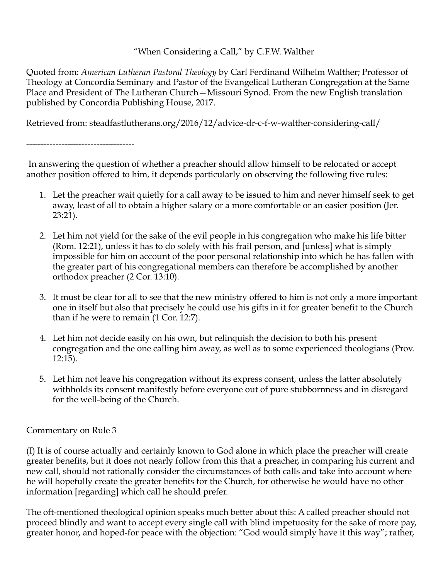#### "When Considering a Call," by C.F.W. Walther

Quoted from: *American Lutheran Pastoral Theology* by Carl Ferdinand Wilhelm Walther; Professor of Theology at Concordia Seminary and Pastor of the Evangelical Lutheran Congregation at the Same Place and President of The Lutheran Church—Missouri Synod. From the new English translation published by Concordia Publishing House, 2017.

Retrieved from: steadfastlutherans.org/2016/12/advice-dr-c-f-w-walther-considering-call/

 In answering the question of whether a preacher should allow himself to be relocated or accept another position offered to him, it depends particularly on observing the following five rules:

- 1. Let the preacher wait quietly for a call away to be issued to him and never himself seek to get away, least of all to obtain a higher salary or a more comfortable or an easier position (Jer. 23:21).
- 2. Let him not yield for the sake of the evil people in his congregation who make his life bitter (Rom. 12:21), unless it has to do solely with his frail person, and [unless] what is simply impossible for him on account of the poor personal relationship into which he has fallen with the greater part of his congregational members can therefore be accomplished by another orthodox preacher (2 Cor. 13:10).
- 3. It must be clear for all to see that the new ministry offered to him is not only a more important one in itself but also that precisely he could use his gifts in it for greater benefit to the Church than if he were to remain (1 Cor. 12:7).
- 4. Let him not decide easily on his own, but relinquish the decision to both his present congregation and the one calling him away, as well as to some experienced theologians (Prov. 12:15).
- 5. Let him not leave his congregation without its express consent, unless the latter absolutely withholds its consent manifestly before everyone out of pure stubbornness and in disregard for the well-being of the Church.

#### Commentary on Rule 3

-------------------------------------

(I) It is of course actually and certainly known to God alone in which place the preacher will create greater benefits, but it does not nearly follow from this that a preacher, in comparing his current and new call, should not rationally consider the circumstances of both calls and take into account where he will hopefully create the greater benefits for the Church, for otherwise he would have no other information [regarding] which call he should prefer.

The oft-mentioned theological opinion speaks much better about this: A called preacher should not proceed blindly and want to accept every single call with blind impetuosity for the sake of more pay, greater honor, and hoped-for peace with the objection: "God would simply have it this way"; rather,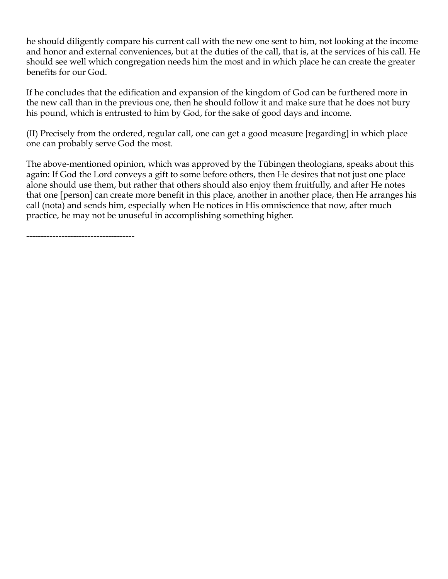he should diligently compare his current call with the new one sent to him, not looking at the income and honor and external conveniences, but at the duties of the call, that is, at the services of his call. He should see well which congregation needs him the most and in which place he can create the greater benefits for our God.

If he concludes that the edification and expansion of the kingdom of God can be furthered more in the new call than in the previous one, then he should follow it and make sure that he does not bury his pound, which is entrusted to him by God, for the sake of good days and income.

(II) Precisely from the ordered, regular call, one can get a good measure [regarding] in which place one can probably serve God the most.

The above-mentioned opinion, which was approved by the Tübingen theologians, speaks about this again: If God the Lord conveys a gift to some before others, then He desires that not just one place alone should use them, but rather that others should also enjoy them fruitfully, and after He notes that one [person] can create more benefit in this place, another in another place, then He arranges his call (nota) and sends him, especially when He notices in His omniscience that now, after much practice, he may not be unuseful in accomplishing something higher.

-------------------------------------